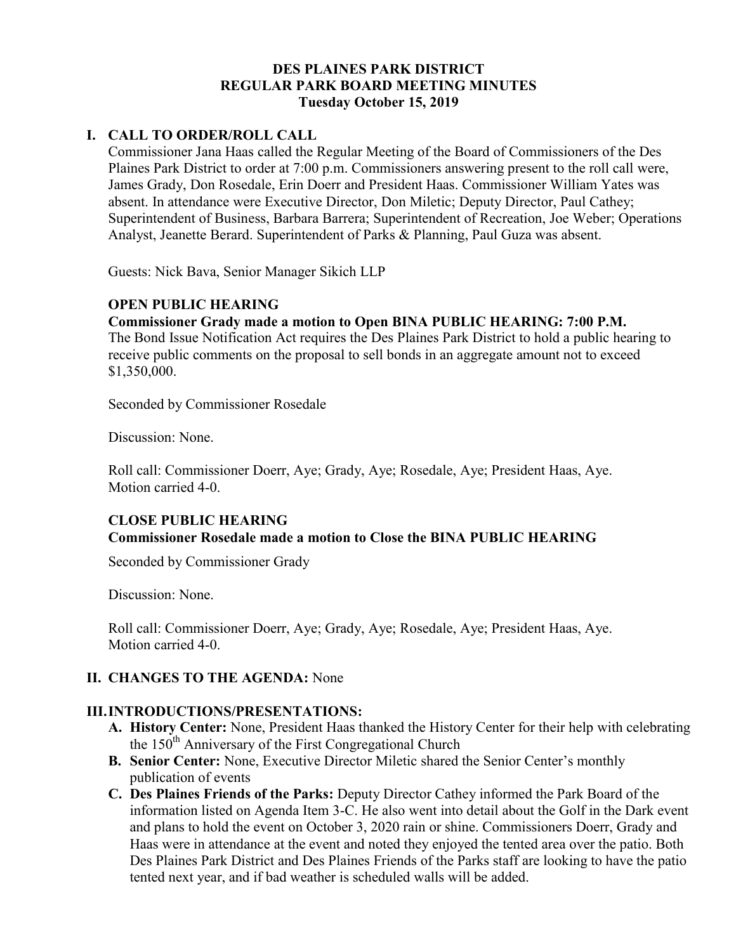### **DES PLAINES PARK DISTRICT REGULAR PARK BOARD MEETING MINUTES Tuesday October 15, 2019**

### **I. CALL TO ORDER/ROLL CALL**

Commissioner Jana Haas called the Regular Meeting of the Board of Commissioners of the Des Plaines Park District to order at 7:00 p.m. Commissioners answering present to the roll call were, James Grady, Don Rosedale, Erin Doerr and President Haas. Commissioner William Yates was absent. In attendance were Executive Director, Don Miletic; Deputy Director, Paul Cathey; Superintendent of Business, Barbara Barrera; Superintendent of Recreation, Joe Weber; Operations Analyst, Jeanette Berard. Superintendent of Parks & Planning, Paul Guza was absent.

Guests: Nick Bava, Senior Manager Sikich LLP

### **OPEN PUBLIC HEARING**

### **Commissioner Grady made a motion to Open BINA PUBLIC HEARING: 7:00 P.M.**

The Bond Issue Notification Act requires the Des Plaines Park District to hold a public hearing to receive public comments on the proposal to sell bonds in an aggregate amount not to exceed \$1,350,000.

Seconded by Commissioner Rosedale

Discussion: None.

 Roll call: Commissioner Doerr, Aye; Grady, Aye; Rosedale, Aye; President Haas, Aye. Motion carried 4-0.

### **CLOSE PUBLIC HEARING Commissioner Rosedale made a motion to Close the BINA PUBLIC HEARING**

Seconded by Commissioner Grady

Discussion: None.

 Roll call: Commissioner Doerr, Aye; Grady, Aye; Rosedale, Aye; President Haas, Aye. Motion carried 4-0.

# **II. CHANGES TO THE AGENDA:** None

### **III.INTRODUCTIONS/PRESENTATIONS:**

- **A. History Center:** None, President Haas thanked the History Center for their help with celebrating the  $150<sup>th</sup>$  Anniversary of the First Congregational Church
- **B. Senior Center:** None, Executive Director Miletic shared the Senior Center's monthly publication of events
- **C. Des Plaines Friends of the Parks:** Deputy Director Cathey informed the Park Board of the information listed on Agenda Item 3-C. He also went into detail about the Golf in the Dark event and plans to hold the event on October 3, 2020 rain or shine. Commissioners Doerr, Grady and Haas were in attendance at the event and noted they enjoyed the tented area over the patio. Both Des Plaines Park District and Des Plaines Friends of the Parks staff are looking to have the patio tented next year, and if bad weather is scheduled walls will be added.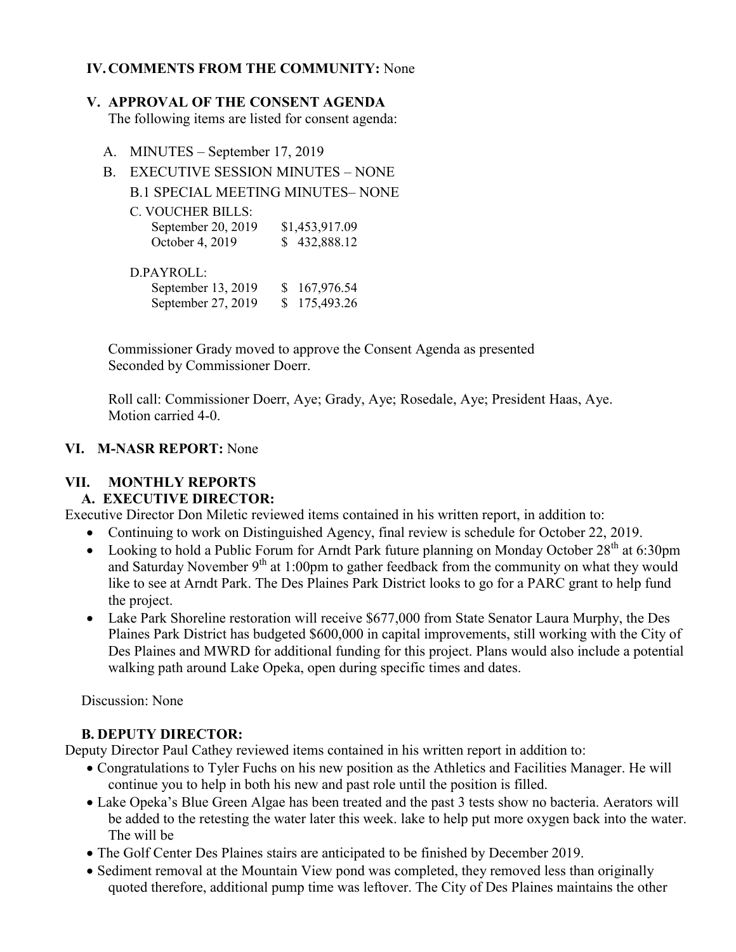# **IV.COMMENTS FROM THE COMMUNITY:** None

#### **V. APPROVAL OF THE CONSENT AGENDA**

The following items are listed for consent agenda:

- A. MINUTES September 17, 2019
- B. EXECUTIVE SESSION MINUTES NONE B.1 SPECIAL MEETING MINUTES– NONE
	- C. VOUCHER BILLS:

| September 20, 2019 | \$1,453,917.09 |
|--------------------|----------------|
| October 4, 2019    | \$432,888.12   |

#### D.PAYROLL:

| September 13, 2019 | \$167,976.54 |
|--------------------|--------------|
| September 27, 2019 | \$175,493.26 |

Commissioner Grady moved to approve the Consent Agenda as presented Seconded by Commissioner Doerr.

 Roll call: Commissioner Doerr, Aye; Grady, Aye; Rosedale, Aye; President Haas, Aye. Motion carried 4-0.

### **VI. M-NASR REPORT:** None

# **VII. MONTHLY REPORTS**

# **A. EXECUTIVE DIRECTOR:**

Executive Director Don Miletic reviewed items contained in his written report, in addition to:

- Continuing to work on Distinguished Agency, final review is schedule for October 22, 2019.
- Looking to hold a Public Forum for Arndt Park future planning on Monday October  $28<sup>th</sup>$  at 6:30pm and Saturday November 9<sup>th</sup> at 1:00pm to gather feedback from the community on what they would like to see at Arndt Park. The Des Plaines Park District looks to go for a PARC grant to help fund the project.
- Lake Park Shoreline restoration will receive \$677,000 from State Senator Laura Murphy, the Des Plaines Park District has budgeted \$600,000 in capital improvements, still working with the City of Des Plaines and MWRD for additional funding for this project. Plans would also include a potential walking path around Lake Opeka, open during specific times and dates.

Discussion: None

# **B. DEPUTY DIRECTOR:**

Deputy Director Paul Cathey reviewed items contained in his written report in addition to:

- Congratulations to Tyler Fuchs on his new position as the Athletics and Facilities Manager. He will continue you to help in both his new and past role until the position is filled.
- Lake Opeka's Blue Green Algae has been treated and the past 3 tests show no bacteria. Aerators will be added to the retesting the water later this week. lake to help put more oxygen back into the water. The will be
- The Golf Center Des Plaines stairs are anticipated to be finished by December 2019.
- Sediment removal at the Mountain View pond was completed, they removed less than originally quoted therefore, additional pump time was leftover. The City of Des Plaines maintains the other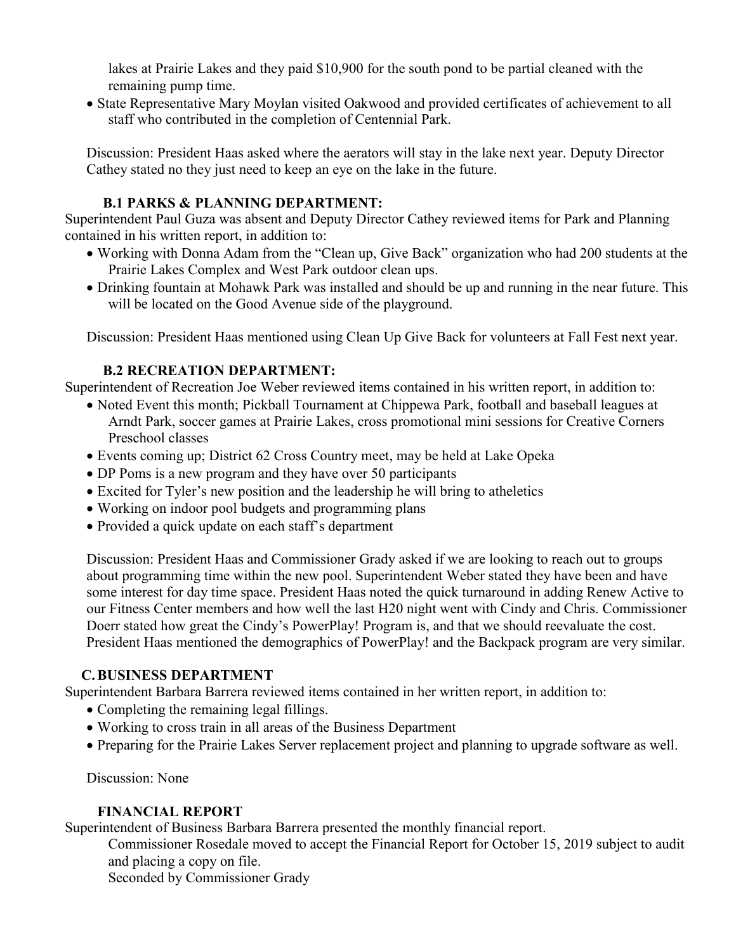lakes at Prairie Lakes and they paid \$10,900 for the south pond to be partial cleaned with the remaining pump time.

 State Representative Mary Moylan visited Oakwood and provided certificates of achievement to all staff who contributed in the completion of Centennial Park.

Discussion: President Haas asked where the aerators will stay in the lake next year. Deputy Director Cathey stated no they just need to keep an eye on the lake in the future.

### **B.1 PARKS & PLANNING DEPARTMENT:**

Superintendent Paul Guza was absent and Deputy Director Cathey reviewed items for Park and Planning contained in his written report, in addition to:

- Working with Donna Adam from the "Clean up, Give Back" organization who had 200 students at the Prairie Lakes Complex and West Park outdoor clean ups.
- Drinking fountain at Mohawk Park was installed and should be up and running in the near future. This will be located on the Good Avenue side of the playground.

Discussion: President Haas mentioned using Clean Up Give Back for volunteers at Fall Fest next year.

# **B.2 RECREATION DEPARTMENT:**

Superintendent of Recreation Joe Weber reviewed items contained in his written report, in addition to:

- Noted Event this month; Pickball Tournament at Chippewa Park, football and baseball leagues at Arndt Park, soccer games at Prairie Lakes, cross promotional mini sessions for Creative Corners Preschool classes
- Events coming up; District 62 Cross Country meet, may be held at Lake Opeka
- DP Poms is a new program and they have over 50 participants
- Excited for Tyler's new position and the leadership he will bring to atheletics
- Working on indoor pool budgets and programming plans
- Provided a quick update on each staff's department

Discussion: President Haas and Commissioner Grady asked if we are looking to reach out to groups about programming time within the new pool. Superintendent Weber stated they have been and have some interest for day time space. President Haas noted the quick turnaround in adding Renew Active to our Fitness Center members and how well the last H20 night went with Cindy and Chris. Commissioner Doerr stated how great the Cindy's PowerPlay! Program is, and that we should reevaluate the cost. President Haas mentioned the demographics of PowerPlay! and the Backpack program are very similar.

# **C.BUSINESS DEPARTMENT**

Superintendent Barbara Barrera reviewed items contained in her written report, in addition to:

- Completing the remaining legal fillings.
- Working to cross train in all areas of the Business Department
- Preparing for the Prairie Lakes Server replacement project and planning to upgrade software as well.

Discussion: None

### **FINANCIAL REPORT**

Superintendent of Business Barbara Barrera presented the monthly financial report.

Commissioner Rosedale moved to accept the Financial Report for October 15, 2019 subject to audit and placing a copy on file.

Seconded by Commissioner Grady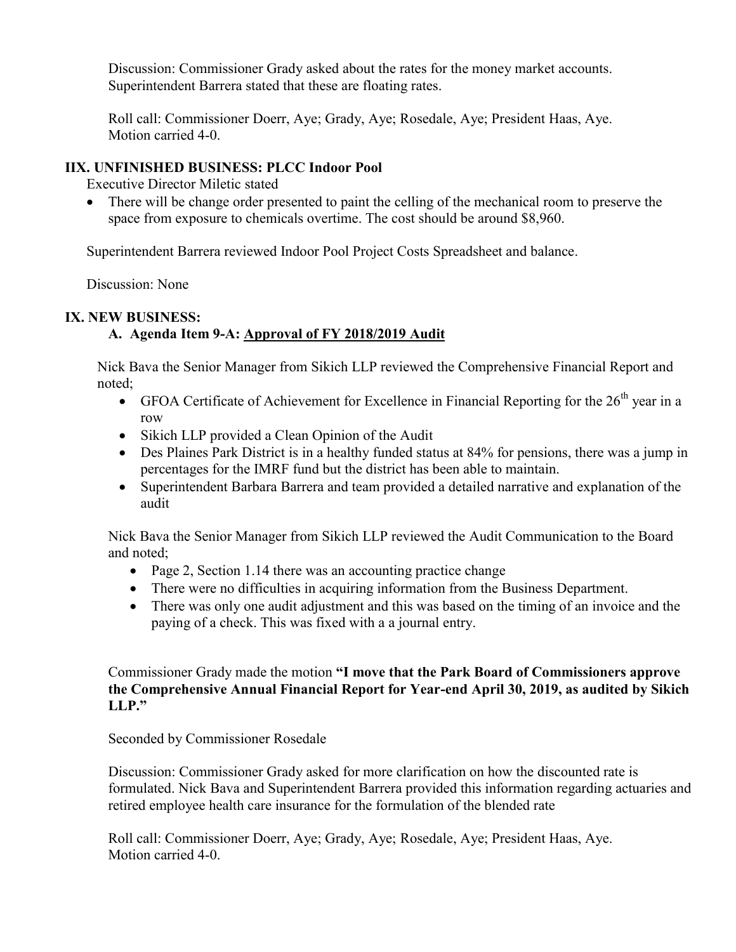Discussion: Commissioner Grady asked about the rates for the money market accounts. Superintendent Barrera stated that these are floating rates.

 Roll call: Commissioner Doerr, Aye; Grady, Aye; Rosedale, Aye; President Haas, Aye. Motion carried 4-0.

### **IIX. UNFINISHED BUSINESS: PLCC Indoor Pool**

Executive Director Miletic stated

 There will be change order presented to paint the celling of the mechanical room to preserve the space from exposure to chemicals overtime. The cost should be around \$8,960.

Superintendent Barrera reviewed Indoor Pool Project Costs Spreadsheet and balance.

Discussion: None

### **IX. NEW BUSINESS:**

# **A. Agenda Item 9-A: Approval of FY 2018/2019 Audit**

Nick Bava the Senior Manager from Sikich LLP reviewed the Comprehensive Financial Report and noted;

- GFOA Certificate of Achievement for Excellence in Financial Reporting for the  $26<sup>th</sup>$  year in a row
- Sikich LLP provided a Clean Opinion of the Audit
- Des Plaines Park District is in a healthy funded status at 84% for pensions, there was a jump in percentages for the IMRF fund but the district has been able to maintain.
- Superintendent Barbara Barrera and team provided a detailed narrative and explanation of the audit

Nick Bava the Senior Manager from Sikich LLP reviewed the Audit Communication to the Board and noted;

- Page 2, Section 1.14 there was an accounting practice change
- There were no difficulties in acquiring information from the Business Department.
- There was only one audit adjustment and this was based on the timing of an invoice and the paying of a check. This was fixed with a a journal entry.

Commissioner Grady made the motion **"I move that the Park Board of Commissioners approve the Comprehensive Annual Financial Report for Year-end April 30, 2019, as audited by Sikich LLP."**

Seconded by Commissioner Rosedale

Discussion: Commissioner Grady asked for more clarification on how the discounted rate is formulated. Nick Bava and Superintendent Barrera provided this information regarding actuaries and retired employee health care insurance for the formulation of the blended rate

 Roll call: Commissioner Doerr, Aye; Grady, Aye; Rosedale, Aye; President Haas, Aye. Motion carried 4-0.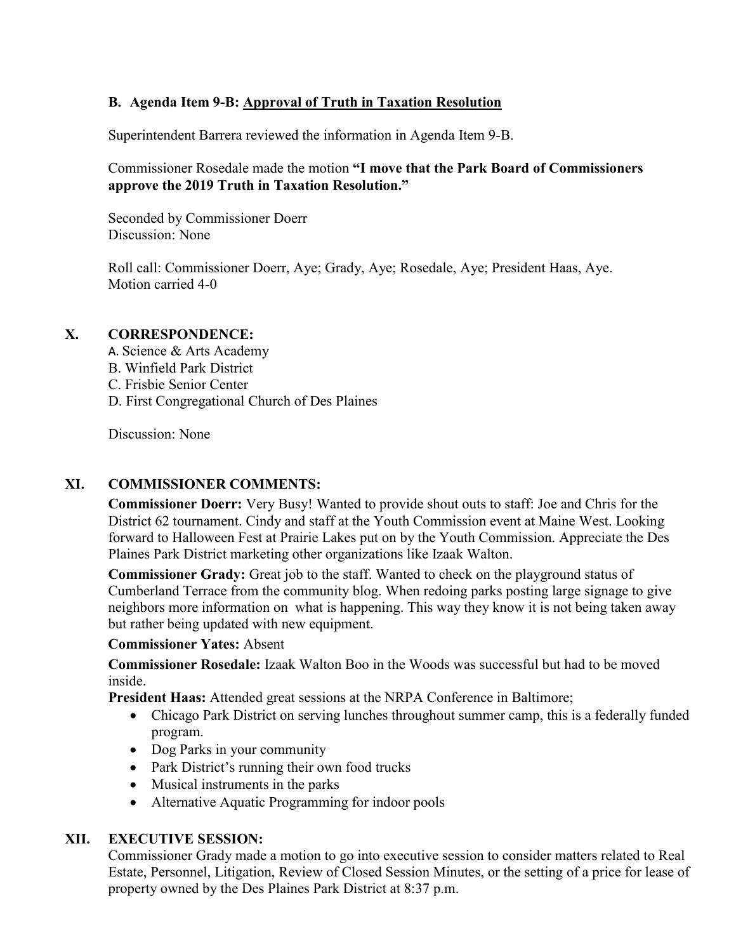### **B. Agenda Item 9-B: Approval of Truth in Taxation Resolution**

Superintendent Barrera reviewed the information in Agenda Item 9-B.

### Commissioner Rosedale made the motion **"I move that the Park Board of Commissioners approve the 2019 Truth in Taxation Resolution."**

 Seconded by Commissioner Doerr Discussion: None

 Roll call: Commissioner Doerr, Aye; Grady, Aye; Rosedale, Aye; President Haas, Aye. Motion carried 4-0

### **X. CORRESPONDENCE:**

- A. Science & Arts Academy
- B. Winfield Park District
- C. Frisbie Senior Center
- D. First Congregational Church of Des Plaines

Discussion: None

### **XI. COMMISSIONER COMMENTS:**

**Commissioner Doerr:** Very Busy! Wanted to provide shout outs to staff: Joe and Chris for the District 62 tournament. Cindy and staff at the Youth Commission event at Maine West. Looking forward to Halloween Fest at Prairie Lakes put on by the Youth Commission. Appreciate the Des Plaines Park District marketing other organizations like Izaak Walton.

**Commissioner Grady:** Great job to the staff. Wanted to check on the playground status of Cumberland Terrace from the community blog. When redoing parks posting large signage to give neighbors more information on what is happening. This way they know it is not being taken away but rather being updated with new equipment.

#### **Commissioner Yates:** Absent

**Commissioner Rosedale:** Izaak Walton Boo in the Woods was successful but had to be moved inside.

**President Haas:** Attended great sessions at the NRPA Conference in Baltimore;

- Chicago Park District on serving lunches throughout summer camp, this is a federally funded program.
- Dog Parks in your community
- Park District's running their own food trucks
- Musical instruments in the parks
- Alternative Aquatic Programming for indoor pools

### **XII. EXECUTIVE SESSION:**

Commissioner Grady made a motion to go into executive session to consider matters related to Real Estate, Personnel, Litigation, Review of Closed Session Minutes, or the setting of a price for lease of property owned by the Des Plaines Park District at 8:37 p.m.